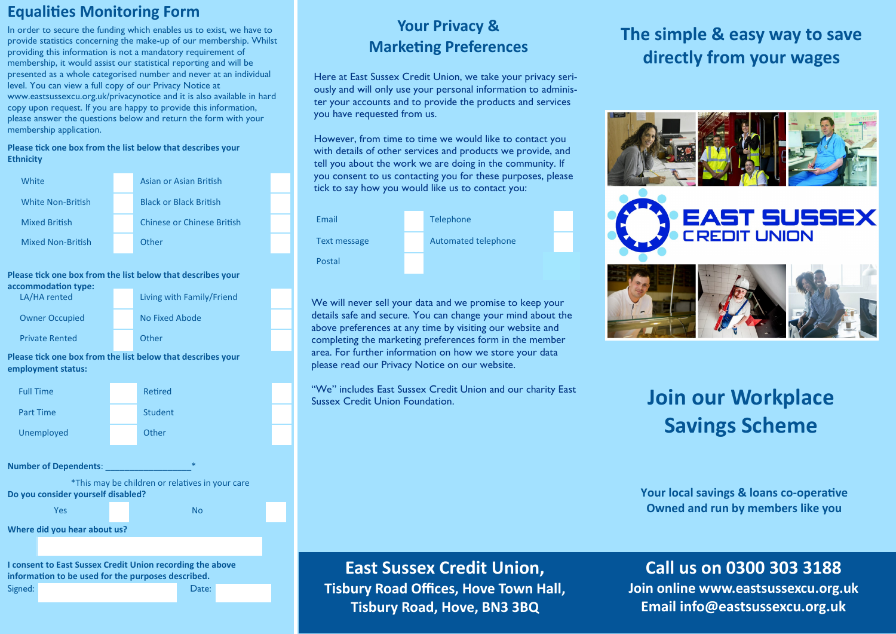### **Equalities Monitoring Form**

In order to secure the funding which enables us to exist, we have to provide statistics concerning the make-up of our membership. Whilst providing this information is not a mandatory requirement of membership, it would assist our statistical reporting and will be presented as a whole categorised number and never at an individual level. You can view a full copy of our Privacy Notice at www.eastsussexcu.org.uk/privacynotice and it is also available in hard copy upon request. If you are happy to provide this information, please answer the questions below and return the form with your membership application.

#### **Please tick one box from the list below that describes your Ethnicity**

| White                    | Asian or Asian British        |
|--------------------------|-------------------------------|
| <b>White Non-British</b> | <b>Black or Black British</b> |
| <b>Mixed British</b>     | Chinese or Chinese British    |
| <b>Mixed Non-British</b> | Other                         |

| accommodation type:   |                           |  |
|-----------------------|---------------------------|--|
| LA/HA rented          | Living with Family/Friend |  |
| <b>Owner Occupied</b> | No Fixed Abode            |  |
| <b>Private Rented</b> | Other                     |  |



#### **Please tick one box from the list below that describes your**

| on type:<br>ed | Living with Family/Friend |  |
|----------------|---------------------------|--|
| upied          | No Fixed Abode            |  |
| ted            | Other                     |  |

**Please tick one box from the list below that describes your employment status:**

|                                                                           |  | <b>Student</b> |  |
|---------------------------------------------------------------------------|--|----------------|--|
| ed                                                                        |  | Other          |  |
|                                                                           |  |                |  |
| pendents:                                                                 |  | $\ast$         |  |
| *This may be children or relatives in your care<br>ler yourself disabled? |  |                |  |
| ρ                                                                         |  | N٥             |  |

Signed: Date:

### **Your Privacy & Marketing Preferences**

Here at East Sussex Credit Union, we take your privacy seriously and will only use your personal information to administer your accounts and to provide the products and services you have requested from us.

However, from time to time we would like to contact you with details of other services and products we provide, and tell you about the work we are doing in the community. If you consent to us contacting you for these purposes, please tick to say how you would like us to contact you:



We will never sell your data and we promise to keep your details safe and secure. You can change your mind about the above preferences at any time by visiting our website and completing the marketing preferences form in the member area. For further information on how we store your data please read our Privacy Notice on our website.

"We" includes East Sussex Credit Union and our charity East Sussex Credit Union Foundation.

## **The simple & easy way to save directly from your wages**



# **Join our Workplace Savings Scheme**

**Your local savings & loans co-operative Owned and run by members like you**

## **East Sussex Credit Union, Tisbury Road Offices, Hove Town Hall, Tisbury Road, Hove, BN3 3BQ**

## **Call us on 0300 303 3188**

**Join online www.eastsussexcu.org.uk Email info@eastsussexcu.org.uk**